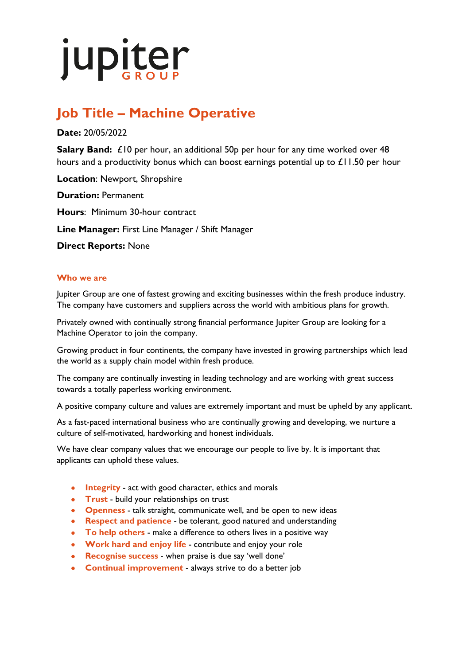# jupiter

# **Job Title – Machine Operative**

# **Date:** 20/05/2022

**Salary Band:** £10 per hour, an additional 50p per hour for any time worked over 48 hours and a productivity bonus which can boost earnings potential up to £11.50 per hour

**Location**: Newport, Shropshire

**Duration:** Permanent

**Hours**: Minimum 30-hour contract

**Line Manager:** First Line Manager / Shift Manager

**Direct Reports:** None

#### **Who we are**

Jupiter Group are one of fastest growing and exciting businesses within the fresh produce industry. The company have customers and suppliers across the world with ambitious plans for growth.

Privately owned with continually strong financial performance Jupiter Group are looking for a Machine Operator to join the company.

Growing product in four continents, the company have invested in growing partnerships which lead the world as a supply chain model within fresh produce.

The company are continually investing in leading technology and are working with great success towards a totally paperless working environment.

A positive company culture and values are extremely important and must be upheld by any applicant.

As a fast-paced international business who are continually growing and developing, we nurture a culture of self-motivated, hardworking and honest individuals.

We have clear company values that we encourage our people to live by. It is important that applicants can uphold these values.

- **Integrity** act with good character, ethics and morals
- **Trust** build your relationships on trust
- **Openness** talk straight, communicate well, and be open to new ideas
- **Respect and patience** be tolerant, good natured and understanding
- **To help others** make a difference to others lives in a positive way
- **Work hard and enjoy life** contribute and enjoy your role
- **Recognise success** when praise is due say 'well done'
- **Continual improvement** always strive to do a better job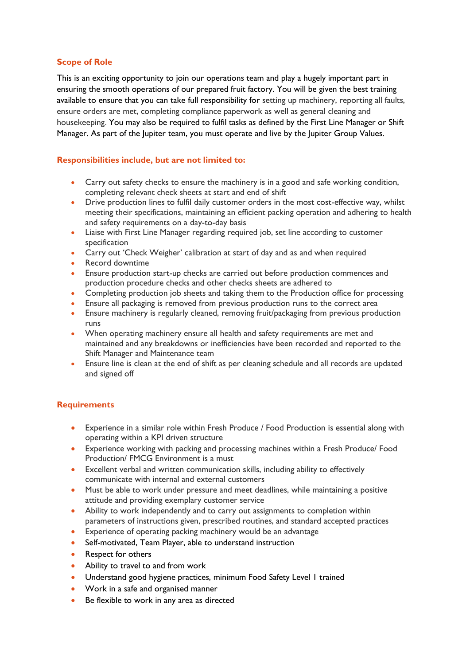## **Scope of Role**

This is an exciting opportunity to join our operations team and play a hugely important part in ensuring the smooth operations of our prepared fruit factory. You will be given the best training available to ensure that you can take full responsibility for setting up machinery, reporting all faults, ensure orders are met, completing compliance paperwork as well as general cleaning and housekeeping. You may also be required to fulfil tasks as defined by the First Line Manager or Shift Manager. As part of the Jupiter team, you must operate and live by the Jupiter Group Values.

## **Responsibilities include, but are not limited to:**

- Carry out safety checks to ensure the machinery is in a good and safe working condition, completing relevant check sheets at start and end of shift
- Drive production lines to fulfil daily customer orders in the most cost-effective way, whilst meeting their specifications, maintaining an efficient packing operation and adhering to health and safety requirements on a day-to-day basis
- Liaise with First Line Manager regarding required job, set line according to customer specification
- Carry out 'Check Weigher' calibration at start of day and as and when required
- Record downtime
- Ensure production start-up checks are carried out before production commences and production procedure checks and other checks sheets are adhered to
- Completing production job sheets and taking them to the Production office for processing
- Ensure all packaging is removed from previous production runs to the correct area
- Ensure machinery is regularly cleaned, removing fruit/packaging from previous production runs
- When operating machinery ensure all health and safety requirements are met and maintained and any breakdowns or inefficiencies have been recorded and reported to the Shift Manager and Maintenance team
- Ensure line is clean at the end of shift as per cleaning schedule and all records are updated and signed off

#### **Requirements**

- Experience in a similar role within Fresh Produce / Food Production is essential along with operating within a KPI driven structure
- Experience working with packing and processing machines within a Fresh Produce/ Food Production/ FMCG Environment is a must
- Excellent verbal and written communication skills, including ability to effectively communicate with internal and external customers
- Must be able to work under pressure and meet deadlines, while maintaining a positive attitude and providing exemplary customer service
- Ability to work independently and to carry out assignments to completion within parameters of instructions given, prescribed routines, and standard accepted practices
- Experience of operating packing machinery would be an advantage
- Self-motivated, Team Player, able to understand instruction
- Respect for others
- Ability to travel to and from work
- Understand good hygiene practices, minimum Food Safety Level I trained
- Work in a safe and organised manner
- Be flexible to work in any area as directed